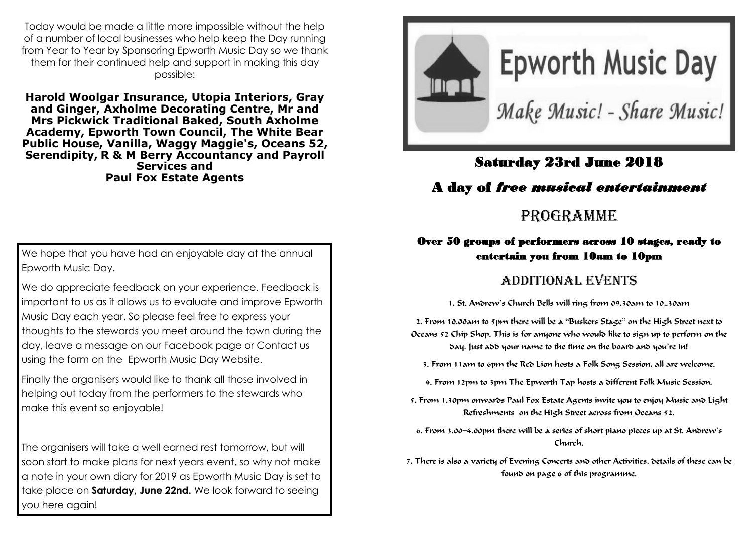Today would be made a little more impossible without the help of a number of local businesses who help keep the Day running from Year to Year by Sponsoring Epworth Music Day so we thank them for their continued help and support in making this day possible:

**[Harold Woolgar Insurance,](https://www.facebook.com/pages/Harold-Woolgar-Insurance/130204454342569) [Utopia Interiors,](https://www.facebook.com/utopia.epworth) [Gray](https://www.facebook.com/grayandginger/)  [and Ginger,](https://www.facebook.com/grayandginger/) [Axholme Decorating Centre,](https://www.facebook.com/axdecepworth/) [Mr and](https://www.facebook.com/thepickwicks1/)  [Mrs Pickwick Traditional Baked,](https://www.facebook.com/thepickwicks1/) [South Axholme](https://www.facebook.com/saxacademy/)  [Academy,](https://www.facebook.com/saxacademy/) Epworth Town Council, The White Bear Public House, [Vanilla,](https://www.facebook.com/Vanilla-Epworth-166281416914665/) W[aggy Maggie's,](https://www.facebook.com/waggymaggies/) [Oceans 52,](https://www.facebook.com/Oceans52-592511394263090/)  [Serendipity,](https://www.facebook.com/Serendipity.of.Epworth/) R & M Berry Accountancy and Payroll Services and [Paul Fox Estate Agents](https://www.facebook.com/paulfoxestateagent/)**

We hope that you have had an enjoyable day at the annual Epworth Music Day.

We do appreciate feedback on your experience. Feedback is important to us as it allows us to evaluate and improve Epworth Music Day each year. So please feel free to express your thoughts to the stewards you meet around the town during the day, leave a message on our Facebook page or Contact us using the form on the Epworth Music Day Website.

Finally the organisers would like to thank all those involved in helping out today from the performers to the stewards who make this event so enjoyable!

The organisers will take a well earned rest tomorrow, but will soon start to make plans for next years event, so why not make a note in your own diary for 2019 as Epworth Music Day is set to take place on **Saturday, June 22nd.** We look forward to seeing you here again!



## Saturday 23rd June 2018

### A day of *free musical entertainment*

# PROGRAMME

#### Over 50 groups of performers across 10 stages, ready to entertain you from 10am to 10pm

## ADDITIONAL EVENTS

1. St. Andrew's Church Bells will ring from 09.30am to 10,.30am

2. From 10.00am to 5pm there will be a "Buskers Stage" on the High Street next to Oceans 52 Chip Shop. This is for anyone who would like to sign up to perform on the day. Just add your name to the time on the board and you're in!

3. From 11am to 6pm the Red Lion hosts a Folk Song Session, all are welcome.

4. From 12pm to 3pm The Epworth Tap hosts a different Folk Music Session.

5. From 1.30pm onwards Paul Fox Estate Agents invite you to enjoy Music and Light Refreshments on the High Street across from Oceans 52.

6. From 3.00—4.00pm there will be a series of short piano pieces up at St. Andrew's Church.

7. There is also a variety of Evening Concerts and other Activities, details of these can be found on page 6 of this programme.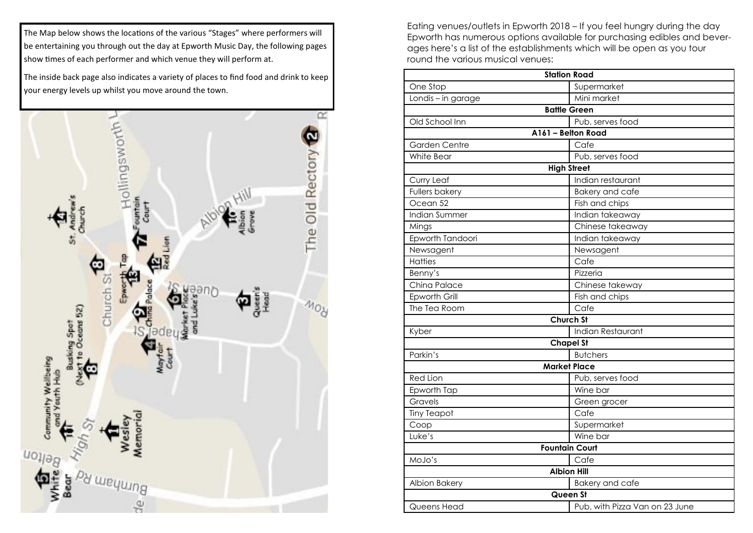The Map below shows the locations of the various "Stages" where performers will be entertaining you through out the day at Epworth Music Day, the following pages show times of each performer and which venue they will perform at.

The inside back page also indicates a variety of places to find food and drink to keep your energy levels up whilst you move around the town.



Eating venues/outlets in Epworth 2018 – If you feel hungry during the day Epworth has numerous options available for purchasing edibles and beverages here's a list of the establishments which will be open as you tour round the various musical venues:

|                       | <b>Station Road</b>            |
|-----------------------|--------------------------------|
| One Stop              | Supermarket                    |
| Londis - in garage    | Mini market                    |
|                       | <b>Battle Green</b>            |
| Old School Inn        | Pub, serves food               |
|                       | A161 - Belton Road             |
| <b>Garden Centre</b>  | Cafe                           |
| <b>White Bear</b>     | Pub, serves food               |
|                       | <b>High Street</b>             |
| Curry Leaf            | Indian restaurant              |
| <b>Fullers bakery</b> | <b>Bakery and cafe</b>         |
| Ocean 52              | Fish and chips                 |
| Indian Summer         | Indian takeaway                |
| Mings                 | Chinese takeaway               |
| Epworth Tandoori      | Indian takeaway                |
| Newsagent             | Newsagent                      |
| <b>Hatties</b>        | Cafe                           |
| Benny's               | Pizzeria                       |
| China Palace          | Chinese takeway                |
| Epworth Grill         | Fish and chips                 |
| The Tea Room          | Cafe                           |
|                       | <b>Church St</b>               |
| Kyber                 | Indian Restaurant              |
|                       | <b>Chapel St</b>               |
| Parkin's              | <b>Butchers</b>                |
|                       | <b>Market Place</b>            |
| <b>Red Lion</b>       | Pub, serves food               |
| Epworth Tap           | Wine bar                       |
| Gravels               | Green grocer                   |
| <b>Tiny Teapot</b>    | Cafe                           |
| Coop                  | Supermarket                    |
| Luke's                | Wine bar                       |
|                       | <b>Fountain Court</b>          |
| MoJo's                | Cafe                           |
|                       | <b>Albion Hill</b>             |
| Albion Bakery         | <b>Bakery and cafe</b>         |
|                       | Queen St                       |
| Queens Head           | Pub, with Pizza Van on 23 June |
|                       |                                |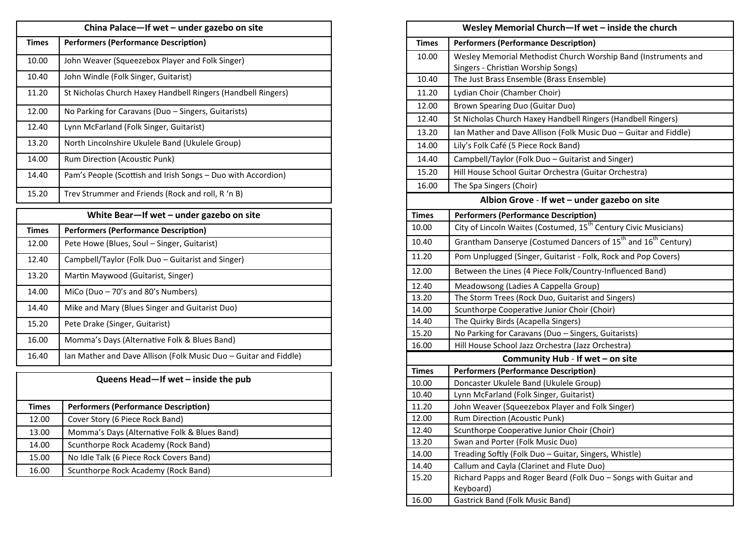| China Palace-If wet - under gazebo on site |                                                              |
|--------------------------------------------|--------------------------------------------------------------|
| <b>Times</b>                               | <b>Performers (Performance Description)</b>                  |
| 10.00                                      | John Weaver (Squeezebox Player and Folk Singer)              |
| 10.40                                      | John Windle (Folk Singer, Guitarist)                         |
| 11.20                                      | St Nicholas Church Haxey Handbell Ringers (Handbell Ringers) |
| 12.00                                      | No Parking for Caravans (Duo - Singers, Guitarists)          |
| 12.40                                      | Lynn McFarland (Folk Singer, Guitarist)                      |
| 13.20                                      | North Lincolnshire Ukulele Band (Ukulele Group)              |
| 14.00                                      | Rum Direction (Acoustic Punk)                                |
| 14.40                                      | Pam's People (Scottish and Irish Songs - Duo with Accordion) |
| 15.20                                      | Trev Strummer and Friends (Rock and roll, R 'n B)            |

| White Bear-If wet - under gazebo on site |                                                                  |
|------------------------------------------|------------------------------------------------------------------|
| <b>Times</b>                             | <b>Performers (Performance Description)</b>                      |
| 12.00                                    | Pete Howe (Blues, Soul – Singer, Guitarist)                      |
| 12.40                                    | Campbell/Taylor (Folk Duo – Guitarist and Singer)                |
| 13.20                                    | Martin Maywood (Guitarist, Singer)                               |
| 14.00                                    | MiCo (Duo $-70$ 's and 80's Numbers)                             |
| 14.40                                    | Mike and Mary (Blues Singer and Guitarist Duo)                   |
| 15.20                                    | Pete Drake (Singer, Guitarist)                                   |
| 16.00                                    | Momma's Days (Alternative Folk & Blues Band)                     |
| 16.40                                    | Ian Mather and Dave Allison (Folk Music Duo – Guitar and Fiddle) |

| <b>Times</b> | <b>Performers (Performance Description)</b>  |
|--------------|----------------------------------------------|
| 12.00        | Cover Story (6 Piece Rock Band)              |
| 13.00        | Momma's Days (Alternative Folk & Blues Band) |
| 14.00        | Scunthorpe Rock Academy (Rock Band)          |
| 15.00        | No Idle Talk (6 Piece Rock Covers Band)      |
| 16.00        | Scunthorpe Rock Academy (Rock Band)          |

**Queens Head—If wet – inside the pub**

| Wesley Memorial Church-If wet - inside the church |                                                                                       |
|---------------------------------------------------|---------------------------------------------------------------------------------------|
| <b>Times</b>                                      | <b>Performers (Performance Description)</b>                                           |
| 10.00                                             | Wesley Memorial Methodist Church Worship Band (Instruments and                        |
|                                                   | Singers - Christian Worship Songs)                                                    |
| 10.40                                             | The Just Brass Ensemble (Brass Ensemble)                                              |
| 11.20                                             | Lydian Choir (Chamber Choir)                                                          |
| 12.00                                             | Brown Spearing Duo (Guitar Duo)                                                       |
| 12.40                                             | St Nicholas Church Haxey Handbell Ringers (Handbell Ringers)                          |
| 13.20                                             | Ian Mather and Dave Allison (Folk Music Duo - Guitar and Fiddle)                      |
| 14.00                                             | Lily's Folk Café (5 Piece Rock Band)                                                  |
| 14.40                                             | Campbell/Taylor (Folk Duo - Guitarist and Singer)                                     |
| 15.20                                             | Hill House School Guitar Orchestra (Guitar Orchestra)                                 |
| 16.00                                             | The Spa Singers (Choir)                                                               |
|                                                   | Albion Grove - If wet - under gazebo on site                                          |
| <b>Times</b>                                      | <b>Performers (Performance Description)</b>                                           |
| 10.00                                             | City of Lincoln Waites (Costumed, 15 <sup>th</sup> Century Civic Musicians)           |
| 10.40                                             | Grantham Danserye (Costumed Dancers of 15 <sup>th</sup> and 16 <sup>th</sup> Century) |
| 11.20                                             | Pom Unplugged (Singer, Guitarist - Folk, Rock and Pop Covers)                         |
| 12.00                                             | Between the Lines (4 Piece Folk/Country-Influenced Band)                              |
| 12.40                                             | Meadowsong (Ladies A Cappella Group)                                                  |
| 13.20                                             | The Storm Trees (Rock Duo, Guitarist and Singers)                                     |
| 14.00                                             | Scunthorpe Cooperative Junior Choir (Choir)                                           |
| 14.40                                             | The Quirky Birds (Acapella Singers)                                                   |
| 15.20                                             | No Parking for Caravans (Duo - Singers, Guitarists)                                   |
| 16.00                                             | Hill House School Jazz Orchestra (Jazz Orchestra)                                     |
|                                                   | Community Hub - If wet - on site                                                      |
| <b>Times</b>                                      | <b>Performers (Performance Description)</b>                                           |
| 10.00                                             | Doncaster Ukulele Band (Ukulele Group)                                                |
| 10.40                                             | Lynn McFarland (Folk Singer, Guitarist)                                               |
| 11.20                                             | John Weaver (Squeezebox Player and Folk Singer)                                       |
| 12.00                                             | Rum Direction (Acoustic Punk)                                                         |
| 12.40                                             | Scunthorpe Cooperative Junior Choir (Choir)                                           |
| 13.20                                             | Swan and Porter (Folk Music Duo)                                                      |
| 14.00                                             | Treading Softly (Folk Duo - Guitar, Singers, Whistle)                                 |
| 14.40                                             | Callum and Cayla (Clarinet and Flute Duo)                                             |
| 15.20                                             | Richard Papps and Roger Beard (Folk Duo - Songs with Guitar and<br>Keyboard)          |
| 16.00                                             | <b>Gastrick Band (Folk Music Band)</b>                                                |